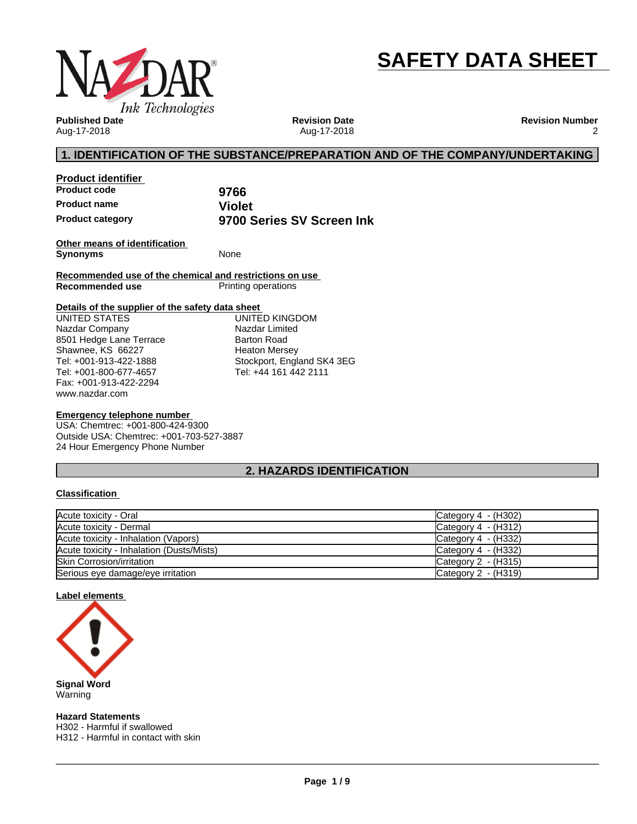

# **SAFETY DATA SHEET**

**Published Date** Aug-17-2018

**Revision Date** Aug-17-2018 **Revision Number** 2

# **1. IDENTIFICATION OF THE SUBSTANCE/PREPARATION AND OF THE COMPANY/UNDERTAKING**

**Product identifier Product code 9766 Product name**<br> **Product category**<br> **Product category Product category 9700 Series SV Screen Ink**

**Other means of identification Synonyms** None

**Recommended use of the chemical and restrictions on use Printing operations** 

### **Details of the supplier of the safety data sheet**

www.nazdar.com UNITED STATES Nazdar Company 8501 Hedge Lane Terrace Shawnee, KS 66227 Tel: +001-913-422-1888 Tel: +001-800-677-4657 Fax: +001-913-422-2294

UNITED KINGDOM Nazdar Limited Barton Road Heaton Mersey Stockport, England SK4 3EG Tel: +44 161 442 2111

### **Emergency telephone number**

USA: Chemtrec: +001-800-424-9300 Outside USA: Chemtrec: +001-703-527-3887 24 Hour Emergency Phone Number

# **2. HAZARDS IDENTIFICATION**

### **Classification**

| Acute toxicity - Oral                     | Category $4 - (H302)$ |
|-------------------------------------------|-----------------------|
| Acute toxicity - Dermal                   | Category $4 - (H312)$ |
| Acute toxicity - Inhalation (Vapors)      | Category $4 - (H332)$ |
| Acute toxicity - Inhalation (Dusts/Mists) | Category $4 - (H332)$ |
| <b>Skin Corrosion/irritation</b>          | Category $2 - (H315)$ |
| Serious eye damage/eye irritation         | Category $2 - (H319)$ |

### **Label elements**



**Hazard Statements** H302 - Harmful if swallowed H312 - Harmful in contact with skin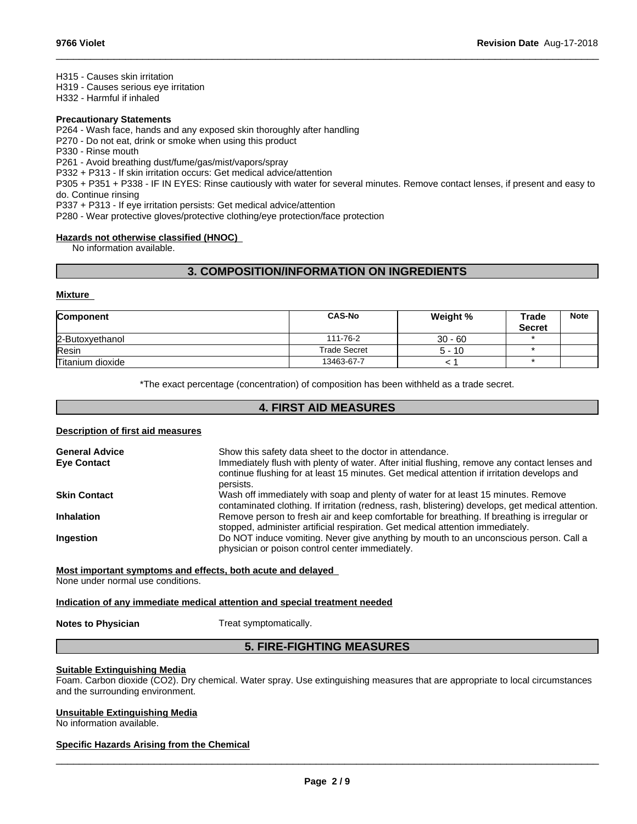H315 - Causes skin irritation

H319 - Causes serious eye irritation

H332 - Harmful if inhaled

### **Precautionary Statements**

P264 - Wash face, hands and any exposed skin thoroughly after handling

P270 - Do not eat, drink or smoke when using this product

P330 - Rinse mouth

P261 - Avoid breathing dust/fume/gas/mist/vapors/spray

P332 + P313 - If skin irritation occurs: Get medical advice/attention

P305 + P351 + P338 - IF IN EYES: Rinse cautiously with water forseveral minutes. Remove contact lenses, if present and easy to do. Continue rinsing

 $\_$  ,  $\_$  ,  $\_$  ,  $\_$  ,  $\_$  ,  $\_$  ,  $\_$  ,  $\_$  ,  $\_$  ,  $\_$  ,  $\_$  ,  $\_$  ,  $\_$  ,  $\_$  ,  $\_$  ,  $\_$  ,  $\_$  ,  $\_$  ,  $\_$  ,  $\_$  ,  $\_$  ,  $\_$  ,  $\_$  ,  $\_$  ,  $\_$  ,  $\_$  ,  $\_$  ,  $\_$  ,  $\_$  ,  $\_$  ,  $\_$  ,  $\_$  ,  $\_$  ,  $\_$  ,  $\_$  ,  $\_$  ,  $\_$  ,

P337 + P313 - If eye irritation persists: Get medical advice/attention

P280 - Wear protective gloves/protective clothing/eye protection/face protection

# **Hazards not otherwise classified (HNOC)**

No information available.

# **3. COMPOSITION/INFORMATION ON INGREDIENTS**

### **Mixture**

| <b>Component</b> | <b>CAS-No</b>       | Weight %  | Trade<br><b>Secret</b> | <b>Note</b> |
|------------------|---------------------|-----------|------------------------|-------------|
| 2-Butoxyethanol  | 111-76-2            | $30 - 60$ |                        |             |
| Resin            | <b>Trade Secret</b> | $5 - 10$  |                        |             |
| Titanium dioxide | 13463-67-7          |           |                        |             |

\*The exact percentage (concentration) of composition has been withheld as a trade secret.

# **4. FIRST AID MEASURES**

### **Description of first aid measures**

| <b>General Advice</b> | Show this safety data sheet to the doctor in attendance.                                                                                                                                                  |
|-----------------------|-----------------------------------------------------------------------------------------------------------------------------------------------------------------------------------------------------------|
| <b>Eye Contact</b>    | Immediately flush with plenty of water. After initial flushing, remove any contact lenses and<br>continue flushing for at least 15 minutes. Get medical attention if irritation develops and<br>persists. |
| <b>Skin Contact</b>   | Wash off immediately with soap and plenty of water for at least 15 minutes. Remove<br>contaminated clothing. If irritation (redness, rash, blistering) develops, get medical attention.                   |
| <b>Inhalation</b>     | Remove person to fresh air and keep comfortable for breathing. If breathing is irregular or<br>stopped, administer artificial respiration. Get medical attention immediately.                             |
| <b>Ingestion</b>      | Do NOT induce vomiting. Never give anything by mouth to an unconscious person. Call a<br>physician or poison control center immediately.                                                                  |
|                       |                                                                                                                                                                                                           |

# **Most important symptoms and effects, both acute and delayed**

None under normal use conditions.

### **Indication of any immediate medical attention and special treatment needed**

### **Notes to Physician** Treat symptomatically.

# **5. FIRE-FIGHTING MEASURES**

### **Suitable Extinguishing Media**

Foam. Carbon dioxide (CO2). Dry chemical. Water spray. Use extinguishing measures that are appropriate to local circumstances and the surrounding environment.

### **Unsuitable Extinguishing Media**

No information available.

### **Specific Hazards Arising from the Chemical**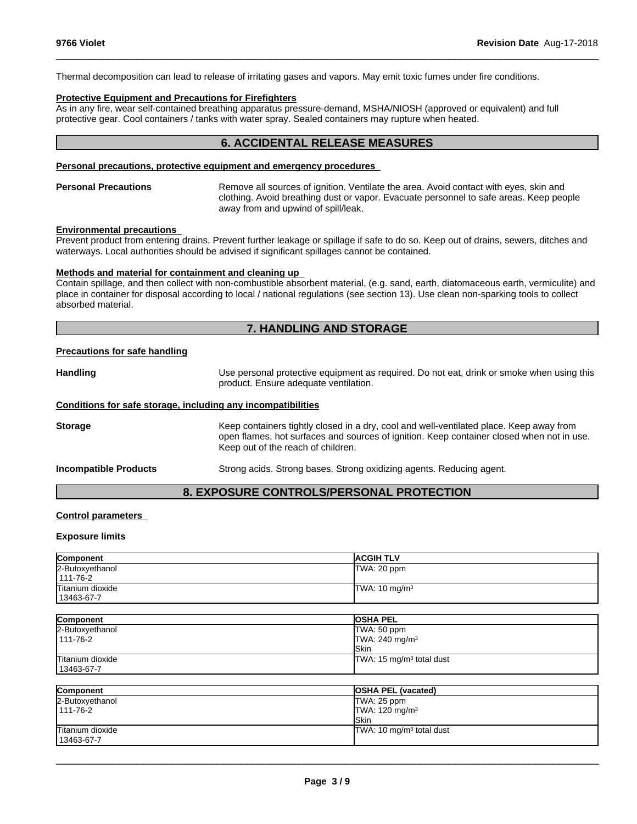Thermal decomposition can lead to release of irritating gases and vapors. May emit toxic fumes under fire conditions.

### **Protective Equipment and Precautions for Firefighters**

As in any fire, wear self-contained breathing apparatus pressure-demand, MSHA/NIOSH (approved or equivalent) and full protective gear. Cool containers / tanks with water spray. Sealed containers may rupture when heated.

# **6. ACCIDENTAL RELEASE MEASURES**

 $\_$  ,  $\_$  ,  $\_$  ,  $\_$  ,  $\_$  ,  $\_$  ,  $\_$  ,  $\_$  ,  $\_$  ,  $\_$  ,  $\_$  ,  $\_$  ,  $\_$  ,  $\_$  ,  $\_$  ,  $\_$  ,  $\_$  ,  $\_$  ,  $\_$  ,  $\_$  ,  $\_$  ,  $\_$  ,  $\_$  ,  $\_$  ,  $\_$  ,  $\_$  ,  $\_$  ,  $\_$  ,  $\_$  ,  $\_$  ,  $\_$  ,  $\_$  ,  $\_$  ,  $\_$  ,  $\_$  ,  $\_$  ,  $\_$  ,

### **Personal precautions, protective equipment and emergency procedures**

**Personal Precautions** Remove all sources of ignition. Ventilate the area. Avoid contact with eyes, skin and clothing. Avoid breathing dust or vapor. Evacuate personnel to safe areas. Keep people away from and upwind of spill/leak.

#### **Environmental precautions**

Prevent product from entering drains. Prevent further leakage or spillage if safe to do so. Keep out of drains, sewers, ditches and waterways. Local authorities should be advised if significant spillages cannot be contained.

# **Methods and material for containment and cleaning up**

Contain spillage, and then collect with non-combustible absorbent material, (e.g. sand, earth, diatomaceous earth, vermiculite) and place in container for disposal according to local / national regulations (see section 13). Use clean non-sparking tools to collect absorbed material.

# **7. HANDLING AND STORAGE**

#### **Precautions for safe handling**

Handling **Handling Example 20** Use personal protective equipment as required. Do not eat, drink or smoke when using this product. Ensure adequate ventilation.

#### **Conditions for safe storage, including any incompatibilities**

**Storage** Keep containers tightly closed in a dry, cool and well-ventilated place. Keep away from open flames, hot surfaces and sources of ignition. Keep container closed when not in use. Keep out of the reach of children.

**Incompatible Products** Strong acids. Strong bases. Strong oxidizing agents. Reducing agent.

# **8. EXPOSURE CONTROLS/PERSONAL PROTECTION**

### **Control parameters**

### **Exposure limits**

| Component                      | <b>ACGIH TLV</b>                                         |
|--------------------------------|----------------------------------------------------------|
| 2-Butoxyethanol<br>111-76-2    | TWA: 20 ppm                                              |
| Titanium dioxide<br>13463-67-7 | TWA: 10 mg/m <sup>3</sup>                                |
|                                |                                                          |
| Component                      | <b>OSHA PEL</b>                                          |
| 2-Butoxyethanol<br>111-76-2    | TWA: 50 ppm<br>TWA: 240 mg/m <sup>3</sup><br><b>Skin</b> |
| Titanium dioxide<br>13463-67-7 | TWA: 15 mg/m <sup>3</sup> total dust                     |

| Component        | <b>OSHA PEL (vacated)</b>            |
|------------------|--------------------------------------|
| 2-Butoxyethanol  | TWA: 25 ppm                          |
| 1111-76-2        | TWA: $120 \text{ mg/m}^3$            |
|                  | <b>ISkin</b>                         |
| Titanium dioxide | TWA: 10 mg/m <sup>3</sup> total dust |
| 13463-67-7       |                                      |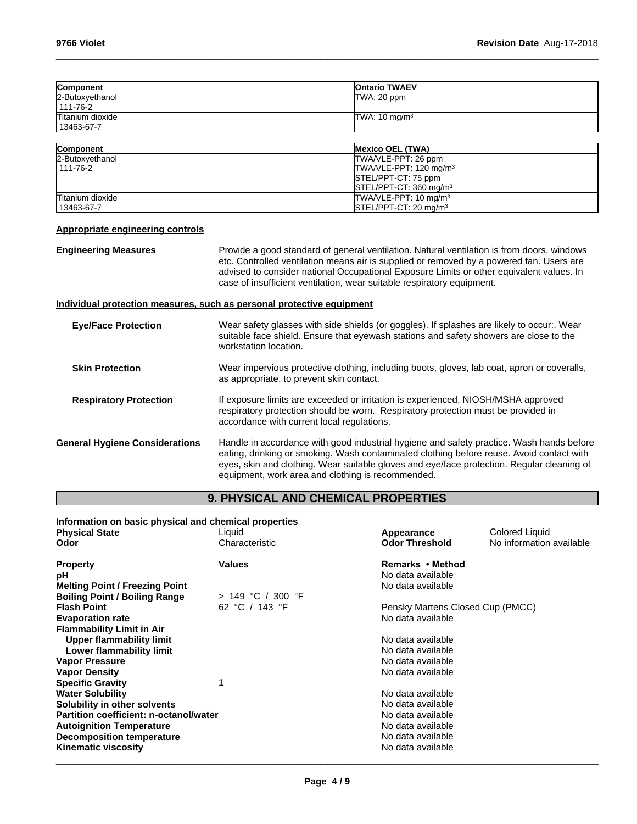| Component        | <b>IOntario TWAEV</b>    |
|------------------|--------------------------|
| 2-Butoxyethanol  | TWA: 20 ppm              |
| $111 - 76 - 2$   |                          |
| Titanium dioxide | TWA: $10 \text{ mg/m}^3$ |
| 13463-67-7       |                          |
|                  |                          |

 $\_$  ,  $\_$  ,  $\_$  ,  $\_$  ,  $\_$  ,  $\_$  ,  $\_$  ,  $\_$  ,  $\_$  ,  $\_$  ,  $\_$  ,  $\_$  ,  $\_$  ,  $\_$  ,  $\_$  ,  $\_$  ,  $\_$  ,  $\_$  ,  $\_$  ,  $\_$  ,  $\_$  ,  $\_$  ,  $\_$  ,  $\_$  ,  $\_$  ,  $\_$  ,  $\_$  ,  $\_$  ,  $\_$  ,  $\_$  ,  $\_$  ,  $\_$  ,  $\_$  ,  $\_$  ,  $\_$  ,  $\_$  ,  $\_$  ,

| <b>Component</b> | <b>Mexico OEL (TWA)</b>            |
|------------------|------------------------------------|
| 2-Butoxyethanol  | TWA/VLE-PPT: 26 ppm                |
| 1111-76-2        | TWA/VLE-PPT: 120 mg/m <sup>3</sup> |
|                  | STEL/PPT-CT: 75 ppm                |
|                  | $ISTEL/PPT-CT: 360 \text{ ma/m}^3$ |
| Titanium dioxide | $TWA/VLE-PPT: 10 mg/m3$            |
| 13463-67-7       | $\textsf{ISTEL/PPT-CT: 20 mq/m}^3$ |

## **Appropriate engineering controls**

**Engineering Measures Provide a good standard of general ventilation. Natural ventilation is from doors, windows** etc. Controlled ventilation means air is supplied or removed by a powered fan. Users are advised to consider national Occupational Exposure Limits or other equivalent values. In case of insufficient ventilation, wear suitable respiratory equipment.

# **Individual protection measures, such as personal protective equipment**

| <b>Eye/Face Protection</b>            | Wear safety glasses with side shields (or goggles). If splashes are likely to occur:. Wear<br>suitable face shield. Ensure that eyewash stations and safety showers are close to the<br>workstation location.                                                                                                                           |
|---------------------------------------|-----------------------------------------------------------------------------------------------------------------------------------------------------------------------------------------------------------------------------------------------------------------------------------------------------------------------------------------|
| <b>Skin Protection</b>                | Wear impervious protective clothing, including boots, gloves, lab coat, apron or coveralls,<br>as appropriate, to prevent skin contact.                                                                                                                                                                                                 |
| <b>Respiratory Protection</b>         | If exposure limits are exceeded or irritation is experienced, NIOSH/MSHA approved<br>respiratory protection should be worn. Respiratory protection must be provided in<br>accordance with current local regulations.                                                                                                                    |
| <b>General Hygiene Considerations</b> | Handle in accordance with good industrial hygiene and safety practice. Wash hands before<br>eating, drinking or smoking. Wash contaminated clothing before reuse. Avoid contact with<br>eyes, skin and clothing. Wear suitable gloves and eye/face protection. Regular cleaning of<br>equipment, work area and clothing is recommended. |

# **9. PHYSICAL AND CHEMICAL PROPERTIES**

| Information on basic physical and chemical properties |                   |                                  |                          |
|-------------------------------------------------------|-------------------|----------------------------------|--------------------------|
| <b>Physical State</b>                                 | Liquid            | Appearance                       | Colored Liquid           |
| Odor                                                  | Characteristic    | <b>Odor Threshold</b>            | No information available |
| <b>Property</b>                                       | Values            | Remarks • Method                 |                          |
| рH                                                    |                   | No data available                |                          |
| <b>Melting Point / Freezing Point</b>                 |                   | No data available                |                          |
| <b>Boiling Point / Boiling Range</b>                  | > 149 °C / 300 °F |                                  |                          |
| <b>Flash Point</b>                                    | 62 °C / 143 °F    | Pensky Martens Closed Cup (PMCC) |                          |
| <b>Evaporation rate</b>                               |                   | No data available                |                          |
| <b>Flammability Limit in Air</b>                      |                   |                                  |                          |
| Upper flammability limit                              |                   | No data available                |                          |
| Lower flammability limit                              |                   | No data available                |                          |
| <b>Vapor Pressure</b>                                 |                   | No data available                |                          |
| <b>Vapor Density</b>                                  |                   | No data available                |                          |
| <b>Specific Gravity</b>                               |                   |                                  |                          |
| <b>Water Solubility</b>                               |                   | No data available                |                          |
| Solubility in other solvents                          |                   | No data available                |                          |
| Partition coefficient: n-octanol/water                |                   | No data available                |                          |
| <b>Autoignition Temperature</b>                       |                   | No data available                |                          |
| <b>Decomposition temperature</b>                      |                   | No data available                |                          |
| <b>Kinematic viscosity</b>                            |                   | No data available                |                          |
|                                                       |                   |                                  |                          |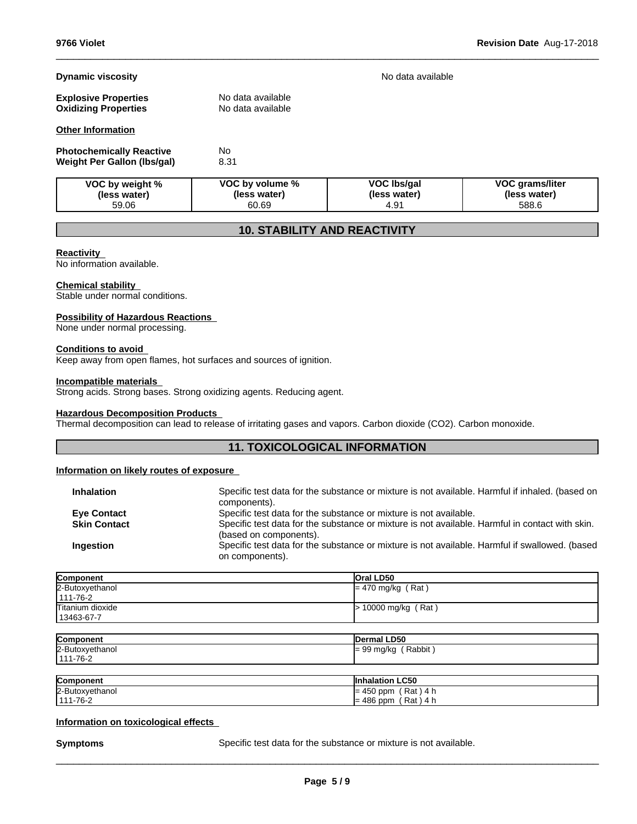# **Dynamic viscosity No data available Dynamic viscosity No data available**

| <b>Explosive Properties</b> | No data available |
|-----------------------------|-------------------|
| <b>Oxidizing Properties</b> | No data available |
|                             |                   |

# **Other Information**

| <b>Photochemically Reactive</b> | No   |
|---------------------------------|------|
| Weight Per Gallon (Ibs/gal)     | 8.31 |

| VOC by weight % | VOC by volume % | VOC Ibs/gal      | <b>VOC grams/liter</b> |
|-----------------|-----------------|------------------|------------------------|
| (less water)    | (less water)    | (less water)     | (less water)           |
| 59.06           | 60.69           | 4.9 <sup>1</sup> | 588.6                  |

 $\_$  ,  $\_$  ,  $\_$  ,  $\_$  ,  $\_$  ,  $\_$  ,  $\_$  ,  $\_$  ,  $\_$  ,  $\_$  ,  $\_$  ,  $\_$  ,  $\_$  ,  $\_$  ,  $\_$  ,  $\_$  ,  $\_$  ,  $\_$  ,  $\_$  ,  $\_$  ,  $\_$  ,  $\_$  ,  $\_$  ,  $\_$  ,  $\_$  ,  $\_$  ,  $\_$  ,  $\_$  ,  $\_$  ,  $\_$  ,  $\_$  ,  $\_$  ,  $\_$  ,  $\_$  ,  $\_$  ,  $\_$  ,  $\_$  ,

# **10. STABILITY AND REACTIVITY**

### **Reactivity**

No information available.

### **Chemical stability**

Stable under normal conditions.

### **Possibility of Hazardous Reactions**

None under normal processing.

### **Conditions to avoid**

Keep away from open flames, hot surfaces and sources of ignition.

### **Incompatible materials**

Strong acids. Strong bases. Strong oxidizing agents. Reducing agent.

### **Hazardous Decomposition Products**

Thermal decomposition can lead to release of irritating gases and vapors. Carbon dioxide (CO2). Carbon monoxide.

# **11. TOXICOLOGICAL INFORMATION**

# **Information on likely routes of exposure**

| <b>Inhalation</b>   | Specific test data for the substance or mixture is not available. Harmful if inhaled. (based on<br>components).           |
|---------------------|---------------------------------------------------------------------------------------------------------------------------|
| <b>Eye Contact</b>  | Specific test data for the substance or mixture is not available.                                                         |
| <b>Skin Contact</b> | Specific test data for the substance or mixture is not available. Harmful in contact with skin.<br>(based on components). |
| Ingestion           | Specific test data for the substance or mixture is not available. Harmful if swallowed. (based<br>on components).         |
|                     |                                                                                                                           |

| Component        | <b>Oral LD50</b>      |
|------------------|-----------------------|
| 2-Butoxyethanol  | $= 470$ mg/kg (Rat)   |
| $1111 - 76 - 2$  |                       |
| Titanium dioxide | $> 10000$ mg/kg (Rat) |
| 13463-67-7       |                       |

| Component       | Dermal LD50                     |
|-----------------|---------------------------------|
| 2-Butoxyethanol | Rabbit<br>$\sim$<br>l= 99 mg/kg |
| 111-76-2        |                                 |

| Component       | <b>Inhalation LC50</b>        |
|-----------------|-------------------------------|
| 2-Butoxyethanol | Rat<br>$= 450$ ppm<br>4 h     |
| 1111-76-2       | Rat,<br>$= 486$<br>4 h<br>ppm |

### **Information on toxicological effects**

**Symptoms** Specific test data for the substance or mixture is not available.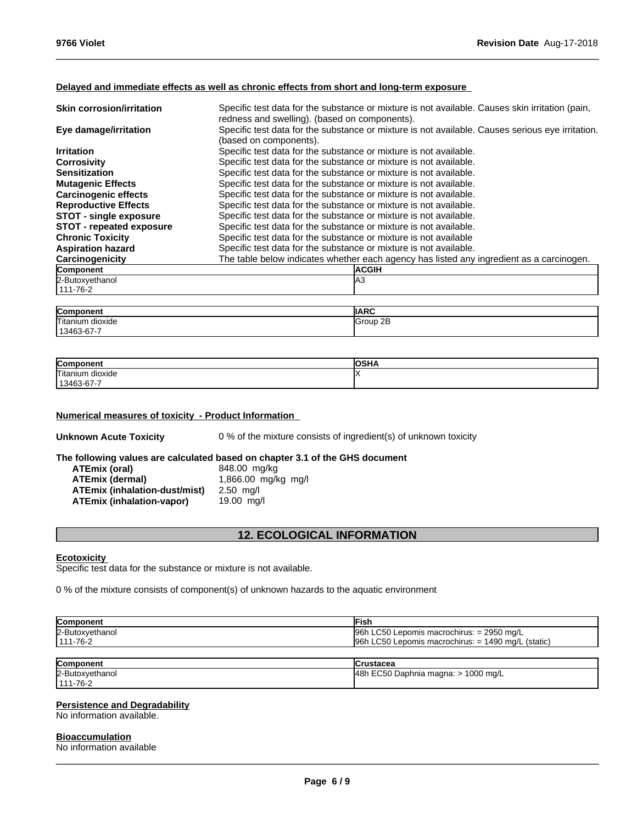## **Delayed and immediate effects as well as chronic effects from short and long-term exposure**

| <b>Skin corrosion/irritation</b> | Specific test data for the substance or mixture is not available. Causes skin irritation (pain,<br>redness and swelling). (based on components). |
|----------------------------------|--------------------------------------------------------------------------------------------------------------------------------------------------|
| Eye damage/irritation            | Specific test data for the substance or mixture is not available. Causes serious eye irritation.<br>(based on components).                       |
| <b>Irritation</b>                | Specific test data for the substance or mixture is not available.                                                                                |
| <b>Corrosivity</b>               | Specific test data for the substance or mixture is not available.                                                                                |
| <b>Sensitization</b>             | Specific test data for the substance or mixture is not available.                                                                                |
| <b>Mutagenic Effects</b>         | Specific test data for the substance or mixture is not available.                                                                                |
| <b>Carcinogenic effects</b>      | Specific test data for the substance or mixture is not available.                                                                                |
| <b>Reproductive Effects</b>      | Specific test data for the substance or mixture is not available.                                                                                |
| <b>STOT - single exposure</b>    | Specific test data for the substance or mixture is not available.                                                                                |
| <b>STOT</b> - repeated exposure  | Specific test data for the substance or mixture is not available.                                                                                |
| <b>Chronic Toxicity</b>          | Specific test data for the substance or mixture is not available                                                                                 |
| <b>Aspiration hazard</b>         | Specific test data for the substance or mixture is not available.                                                                                |
| Carcinogenicity                  | The table below indicates whether each agency has listed any ingredient as a carcinogen.                                                         |
| Component                        | <b>ACGIH</b>                                                                                                                                     |
| 2-Butoxyethanol                  | lA3                                                                                                                                              |
| 111-76-2                         |                                                                                                                                                  |

 $\_$  ,  $\_$  ,  $\_$  ,  $\_$  ,  $\_$  ,  $\_$  ,  $\_$  ,  $\_$  ,  $\_$  ,  $\_$  ,  $\_$  ,  $\_$  ,  $\_$  ,  $\_$  ,  $\_$  ,  $\_$  ,  $\_$  ,  $\_$  ,  $\_$  ,  $\_$  ,  $\_$  ,  $\_$  ,  $\_$  ,  $\_$  ,  $\_$  ,  $\_$  ,  $\_$  ,  $\_$  ,  $\_$  ,  $\_$  ,  $\_$  ,  $\_$  ,  $\_$  ,  $\_$  ,  $\_$  ,  $\_$  ,  $\_$  ,

| Component                       | <b>IIARC</b>        |
|---------------------------------|---------------------|
| Titanium<br>⊧ dioxide           | 2E<br><b>IGroup</b> |
| $\sim$ $\sim$<br>$13463-67 - 7$ |                     |

| Componen            | <br>ארוט |
|---------------------|----------|
| Titaniu.<br>dioxide |          |
| 13463-67-7          |          |

# **Numerical measures of toxicity - Product Information**

**Unknown Acute Toxicity** 0 % of the mixture consists of ingredient(s) of unknown toxicity

# **The following values are calculated based on chapter 3.1 of the GHS document**

| ATEmix (oral)                 | 848.00 mg/kg        |
|-------------------------------|---------------------|
| ATEmix (dermal)               | 1,866.00 mg/kg mg/l |
| ATEmix (inhalation-dust/mist) | $2.50$ ma/l         |
| ATEmix (inhalation-vapor)     | 19.00 ma/l          |

# **12. ECOLOGICAL INFORMATION**

### **Ecotoxicity**

Specific test data for the substance or mixture is not available.

0 % of the mixture consists of component(s) of unknown hazards to the aquatic environment

| Component       | ∃ish                                                   |
|-----------------|--------------------------------------------------------|
| 2-Butoxyethanol | 96h LC50 Lepomis macrochirus: $= 2950$ mg/L            |
| $ 111 - 76 - 2$ | $96h$ LC50 Lepomis macrochirus: $= 1490$ mg/L (static) |

| Component       | lCrustacea                                                         |
|-----------------|--------------------------------------------------------------------|
| 2-Butoxyethanol | <sup>-</sup> C <sub>50</sub> Daphnia magna: ><br>l48h<br>1000 mg/L |
| $111 - 76 - 2$  |                                                                    |

### **Persistence and Degradability**

No information available.

# **Bioaccumulation**

No information available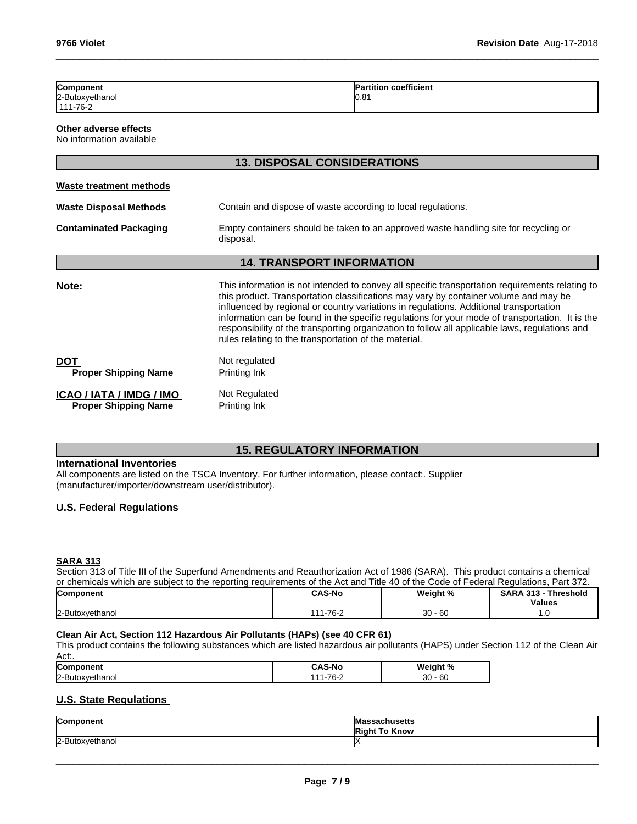| Component                                               | <b>Partition coefficient</b>                                                                                                                                                                                                                                                                                                                                                                                                                                                                                                                    |  |  |  |
|---------------------------------------------------------|-------------------------------------------------------------------------------------------------------------------------------------------------------------------------------------------------------------------------------------------------------------------------------------------------------------------------------------------------------------------------------------------------------------------------------------------------------------------------------------------------------------------------------------------------|--|--|--|
| 2-Butoxyethanol<br>111-76-2                             | 10.81                                                                                                                                                                                                                                                                                                                                                                                                                                                                                                                                           |  |  |  |
| Other adverse effects<br>No information available       |                                                                                                                                                                                                                                                                                                                                                                                                                                                                                                                                                 |  |  |  |
|                                                         | <b>13. DISPOSAL CONSIDERATIONS</b>                                                                                                                                                                                                                                                                                                                                                                                                                                                                                                              |  |  |  |
| <b>Waste treatment methods</b>                          |                                                                                                                                                                                                                                                                                                                                                                                                                                                                                                                                                 |  |  |  |
| <b>Waste Disposal Methods</b>                           | Contain and dispose of waste according to local regulations.                                                                                                                                                                                                                                                                                                                                                                                                                                                                                    |  |  |  |
| <b>Contaminated Packaging</b>                           | Empty containers should be taken to an approved waste handling site for recycling or<br>disposal.                                                                                                                                                                                                                                                                                                                                                                                                                                               |  |  |  |
|                                                         | <b>14. TRANSPORT INFORMATION</b>                                                                                                                                                                                                                                                                                                                                                                                                                                                                                                                |  |  |  |
| Note:                                                   | This information is not intended to convey all specific transportation requirements relating to<br>this product. Transportation classifications may vary by container volume and may be<br>influenced by regional or country variations in regulations. Additional transportation<br>information can be found in the specific regulations for your mode of transportation. It is the<br>responsibility of the transporting organization to follow all applicable laws, regulations and<br>rules relating to the transportation of the material. |  |  |  |
| <b>DOT</b><br><b>Proper Shipping Name</b>               | Not regulated<br>Printing Ink                                                                                                                                                                                                                                                                                                                                                                                                                                                                                                                   |  |  |  |
| ICAO / IATA / IMDG / IMO<br><b>Proper Shipping Name</b> | Not Regulated<br>Printing Ink                                                                                                                                                                                                                                                                                                                                                                                                                                                                                                                   |  |  |  |

 $\_$  ,  $\_$  ,  $\_$  ,  $\_$  ,  $\_$  ,  $\_$  ,  $\_$  ,  $\_$  ,  $\_$  ,  $\_$  ,  $\_$  ,  $\_$  ,  $\_$  ,  $\_$  ,  $\_$  ,  $\_$  ,  $\_$  ,  $\_$  ,  $\_$  ,  $\_$  ,  $\_$  ,  $\_$  ,  $\_$  ,  $\_$  ,  $\_$  ,  $\_$  ,  $\_$  ,  $\_$  ,  $\_$  ,  $\_$  ,  $\_$  ,  $\_$  ,  $\_$  ,  $\_$  ,  $\_$  ,  $\_$  ,  $\_$  ,

# **15. REGULATORY INFORMATION**

# **International Inventories**

All components are listed on the TSCA Inventory. For further information, please contact:. Supplier (manufacturer/importer/downstream user/distributor).

## **U.S. Federal Regulations**

# **SARA 313**

Section 313 of Title III of the Superfund Amendments and Reauthorization Act of 1986 (SARA). This product contains a chemical or chemicals which are subject to the reporting requirements of the Act and Title 40 of the Code of Federal Regulations, Part 372.

| Component       | <b>CAS-No</b>                                              | Weight %  | --<br><b>SARA</b><br>- 242<br>Threshold<br>د ۱ د |
|-----------------|------------------------------------------------------------|-----------|--------------------------------------------------|
|                 |                                                            |           | <b>Values</b>                                    |
| 2-Butoxyethanol | $.1 - 76 - 7$<br>$\begin{array}{c} \n \bullet \end{array}$ | $30 - 60$ | $\cdot$ $\sim$                                   |

# **Clean Air Act,Section 112 Hazardous Air Pollutants (HAPs) (see 40 CFR 61)**

This product contains the following substances which are listed hazardous air pollutants (HAPS) under Section 112 of the Clean Air Act:.

| Com<br>nem                   | .<br>S-NC<br>$-$ | Weight              |
|------------------------------|------------------|---------------------|
| $2 -$<br>.<br>·Buto<br>nanoi | 70<br>.          | 30<br>$\sim$<br>-6C |

# **U.S. State Regulations**

| Component<br>יוסו  | lMas<br><b>ssachusetts</b><br><b>IRi</b><br>Know |
|--------------------|--------------------------------------------------|
| 2-Butox<br>ethanol |                                                  |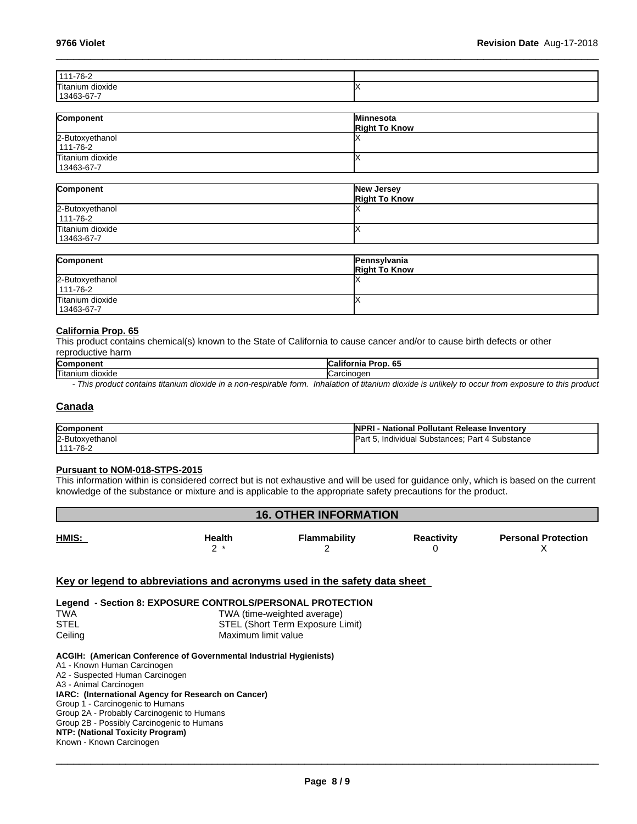| 111-76-2            |  |
|---------------------|--|
| Titanium<br>dioxide |  |
| 13463-67-7          |  |

 $\_$  ,  $\_$  ,  $\_$  ,  $\_$  ,  $\_$  ,  $\_$  ,  $\_$  ,  $\_$  ,  $\_$  ,  $\_$  ,  $\_$  ,  $\_$  ,  $\_$  ,  $\_$  ,  $\_$  ,  $\_$  ,  $\_$  ,  $\_$  ,  $\_$  ,  $\_$  ,  $\_$  ,  $\_$  ,  $\_$  ,  $\_$  ,  $\_$  ,  $\_$  ,  $\_$  ,  $\_$  ,  $\_$  ,  $\_$  ,  $\_$  ,  $\_$  ,  $\_$  ,  $\_$  ,  $\_$  ,  $\_$  ,  $\_$  ,

| Component                         | Minnesota<br><b>Right To Know</b> |
|-----------------------------------|-----------------------------------|
| 2-Butoxyethanol<br>$111 - 76 - 2$ |                                   |
| Titanium dioxide<br>13463-67-7    |                                   |

| Component                         | <b>New Jersey</b><br><b>Right To Know</b> |
|-----------------------------------|-------------------------------------------|
| 2-Butoxyethanol<br>$111 - 76 - 2$ |                                           |
| Titanium dioxide<br>13463-67-7    |                                           |

| Component                         | Pennsylvania<br><b>Right To Know</b> |
|-----------------------------------|--------------------------------------|
| 2-Butoxyethanol<br>$111 - 76 - 2$ |                                      |
| Titanium dioxide<br>13463-67-7    |                                      |

### **California Prop. 65**

This product contains chemical(s) known to the State of California to cause cancer and/or to cause birth defects or other reproductive harm

| Component | --<br>---<br><b>b5</b><br>oo<br>ша |
|-----------|------------------------------------|
| lTitaniun | cinoaer                            |
| dioxide   | .                                  |

*- This product contains titanium dioxide in a non-respirable form. Inhalation of titanium dioxide is unlikely to occur from exposure to this product*

# **Canada**

| Component       | <b>NPP</b><br>- National Pollutant Release Inventorv<br>"KI |
|-----------------|-------------------------------------------------------------|
| 2-Butoxvethanol | Individual Substances; Part 4 Substance<br>'Pan             |
| 1111-76-2       |                                                             |

### **Pursuant to NOM-018-STPS-2015**

This information within is considered correct but is not exhaustive and will be used for guidance only, which is based on the current knowledge of the substance or mixture and is applicable to the appropriate safety precautions for the product.

| HMIS:<br>Flammability<br>Health<br><b>Reactivity</b> | <b>Personal Protection</b> |
|------------------------------------------------------|----------------------------|
|                                                      |                            |

# **Key or legend to abbreviations and acronyms used in the safety data sheet**

**Legend - Section 8: EXPOSURE CONTROLS/PERSONAL PROTECTION** TWA TWA (time-weighted average) STEL (Short Term Exposure Limit) Ceiling Ceiling Maximum limit value

#### **ACGIH: (American Conference of Governmental Industrial Hygienists)**

A1 - Known Human Carcinogen A2 - Suspected Human Carcinogen A3 - Animal Carcinogen **IARC: (International Agency for Research on Cancer)** Group 1 - Carcinogenic to Humans Group 2A - Probably Carcinogenic to Humans Group 2B - Possibly Carcinogenic to Humans **NTP: (National Toxicity Program)** Known - Known Carcinogen